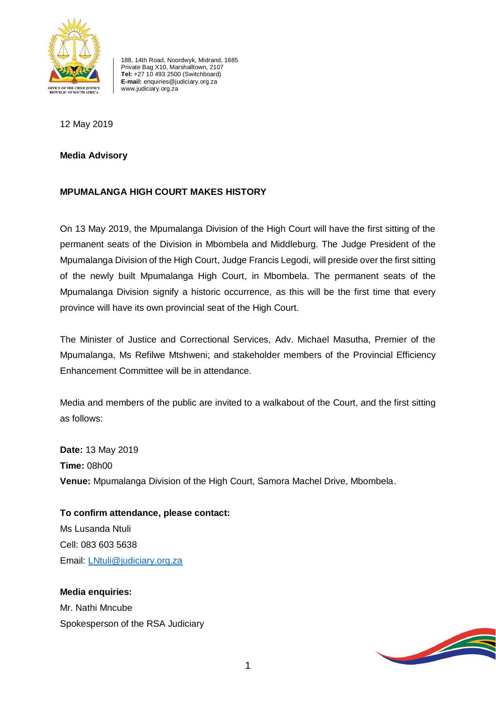

188, 14th Road, Noordwyk, Midrand, 1685 Private Bag X10, Marshalltown, 2107 **Tel:** +27 10 493 2500 (Switchboard) **E-mail:** enquiries@judiciary.org.za www.judiciary.org.za

12 May 2019

**Media Advisory**

## **MPUMALANGA HIGH COURT MAKES HISTORY**

On 13 May 2019, the Mpumalanga Division of the High Court will have the first sitting of the permanent seats of the Division in Mbombela and Middleburg. The Judge President of the Mpumalanga Division of the High Court, Judge Francis Legodi, will preside over the first sitting of the newly built Mpumalanga High Court, in Mbombela. The permanent seats of the Mpumalanga Division signify a historic occurrence, as this will be the first time that every province will have its own provincial seat of the High Court.

The Minister of Justice and Correctional Services, Adv. Michael Masutha, Premier of the Mpumalanga, Ms Refilwe Mtshweni; and stakeholder members of the Provincial Efficiency Enhancement Committee will be in attendance.

Media and members of the public are invited to a walkabout of the Court, and the first sitting as follows:

**Date:** 13 May 2019 **Time:** 08h00 **Venue:** Mpumalanga Division of the High Court, Samora Machel Drive, Mbombela.

**To confirm attendance, please contact:** Ms Lusanda Ntuli Cell: 083 603 5638 Email: [LNtuli@judiciary.org.za](mailto:LNtuli@judiciary.org.za)

**Media enquiries:** Mr. Nathi Mncube Spokesperson of the RSA Judiciary